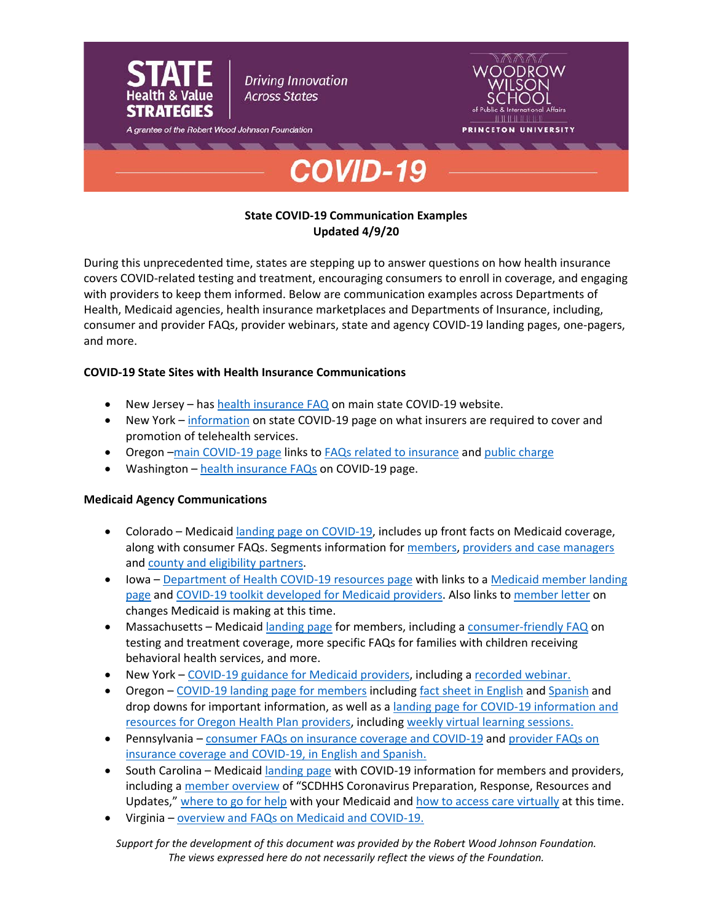

# **State COVID-19 Communication Examples Updated 4/9/20**

During this unprecedented time, states are stepping up to answer questions on how health insurance covers COVID-related testing and treatment, encouraging consumers to enroll in coverage, and engaging with providers to keep them informed. Below are communication examples across Departments of Health, Medicaid agencies, health insurance marketplaces and Departments of Insurance, including, consumer and provider FAQs, provider webinars, state and agency COVID-19 landing pages, one-pagers, and more.

# **COVID-19 State Sites with Health Insurance Communications**

- New Jersey has [health insurance FAQ](https://covid19.nj.gov/faqs/nj-information/get-assistance/how-do-i-apply-for-food-and-cash-assistance-and-health-insurance-during-the-covid-19-outbreak) on main state COVID-19 website.
- New York [information](https://coronavirus.health.ny.gov/know-your-rights#insurance) on state COVID-19 page on what insurers are required to cover and promotion of telehealth services.
- Oregon [–main COVID-19 page](https://govstatus.egov.com/OR-OHA-COVID-19) links to [FAQs related to insurance](https://www.oregon.gov/oha/PH/DISEASESCONDITIONS/DISEASESAZ/Pages/COVID19-FAQ.aspx?wp1284=se:%22insurance%22) and [public charge](https://www.oregon.gov/oha/PH/DISEASESCONDITIONS/DISEASESAZ/Pages/COVID19-FAQ.aspx?wp1284=se:%22public+charge%22)
- Washington [health insurance FAQs](https://coronavirus.wa.gov/you-and-your-family#healthinsurance) on COVID-19 page.

## **Medicaid Agency Communications**

- Colorado Medicaid [landing page on COVID-19,](https://www.colorado.gov/pacific/hcpf/COVID) includes up front facts on Medicaid coverage, along with consumer FAQs. Segments information for [members,](https://www.healthfirstcolorado.com/covid/) [providers and case managers](https://www.colorado.gov/hcpf/covid-19-provider-information) and [county and eligibility partners.](https://www.colorado.gov/hcpf/covid-resources-county-and-eligibility-partners)
- Iowa [Department of Health COVID-19](https://dhs.iowa.gov/COVID19) resources page with links to a Medicaid member landing [page](https://dhs.iowa.gov/ime/members/coronavirus) and [COVID-19 toolkit developed for Medicaid providers.](https://dhs.iowa.gov/sites/default/files/DHS_COVID19_MedicaidProviderToolkit.pdf?032720201851) Also links to [member letter](https://dhs.iowa.gov/sites/default/files/470-5609.pdf?040920201635) on changes Medicaid is making at this time.
- Massachusetts Medicai[d landing page](https://www.mass.gov/info-details/masshealth-coronavirus-disease-2019-covid-19-applicants-and-members) for members, including a [consumer-friendly FAQ](https://www.mass.gov/info-details/masshealth-coronavirus-disease-2019-covid-19-applicants-and-members#frequently-asked-questions-for-members-and-applicants-) on testing and treatment coverage, more specific FAQs for families with children receiving behavioral health services, and more.
- New York [COVID-19 guidance for Medicaid providers,](https://www.health.ny.gov/health_care/medicaid/covid19/index.htm) including a [recorded webinar.](https://www.youtube.com/watch?v=ra73cw3gwn0)
- Oregon [COVID-19 landing page for members](https://www.oregon.gov/oha/HSD/OHP/Pages/ohp-covid-19.aspx) includin[g fact sheet in English](https://www.oregon.gov/oha/HSD/OHP/Documents/OHP%20Member%20Fact%20Sheet%20-%20Novel%20coronavirus%20COVID-19.pdf) and [Spanish](https://www.oregon.gov/oha/HSD/OHP/Documents/OHP%20member%20fact%20sheet%20-%20Novel%20coronavirus%20COVID-19%20-%20Spanish.pdf) and drop downs for important information, as well as a [landing page for COVID-19 information and](https://www.oregon.gov/oha/HSD/OHP/Pages/COVID-19.aspx)  [resources for Oregon Health Plan providers,](https://www.oregon.gov/oha/HSD/OHP/Pages/COVID-19.aspx) includin[g weekly virtual learning sessions.](https://www.oregon.gov/oha/HSD/OHP/Tools/Thursday%20virtual%20learning%20sessions%20-%20Oregon%20COVID-19%20Response%20for%20Clinicians%20ECHO%20begins%20Mar.%2019.pdf)
- Pennsylvania [consumer FAQs on insurance coverage and COVID-19](https://www.health.pa.gov/topics/disease/Pages/Coronavirus-Insurance.aspx) and [provider FAQs on](https://www.dhs.pa.gov/providers/Providers/Pages/Coronavirus-FAQS.aspx)  [insurance coverage and COVID-19,](https://www.dhs.pa.gov/providers/Providers/Pages/Coronavirus-FAQS.aspx) in English and Spanish.
- South Carolina Medicaid [landing page](https://msp.scdhhs.gov/covid19/) with COVID-19 information for members and providers, including a [member overview](https://msp.scdhhs.gov/covid19/sites/default/files/%282020-03-20%29%20Beneficiary%20eBlast_0.pdf) of "SCDHHS Coronavirus Preparation, Response, Resources and Updates," [where to go for help](https://msp.scdhhs.gov/covid19/members-and-applicants/where-go-help-your-healthy-connections-medicaid) with your Medicaid an[d how to access care virtually](https://msp.scdhhs.gov/covid19/feeling-ill/access-care-virtually-and-phone) at this time.
- Virginia overview and [FAQs on Medicaid and COVID-19.](https://www.coverva.org/materials/One_Pager_3_24_FINAL.pdf)

*Support for the development of this document was provided by the Robert Wood Johnson Foundation. The views expressed here do not necessarily reflect the views of the Foundation.*